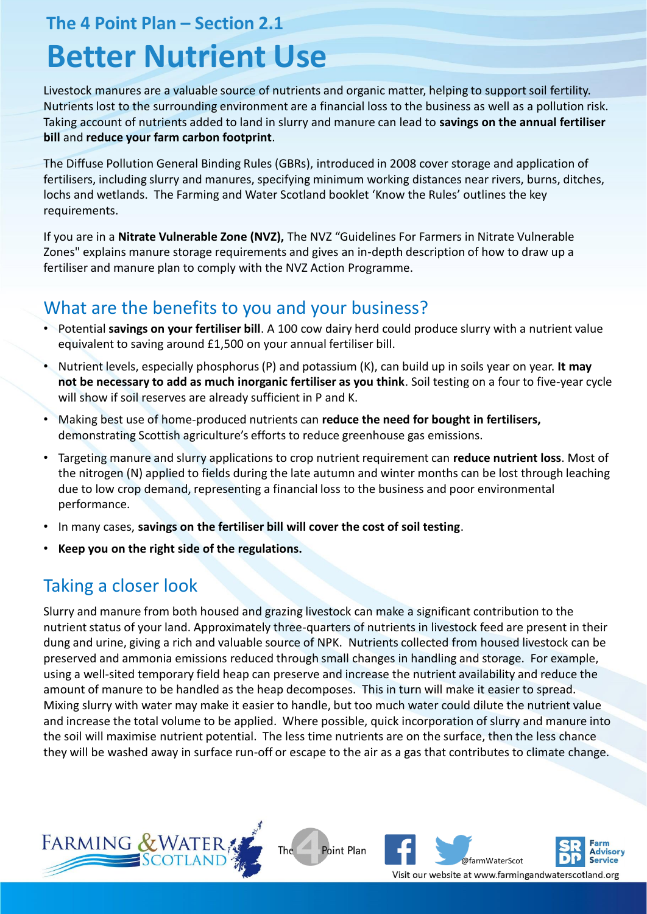**The 4 Point Plan – Section 2.1**

# **Better Nutrient Use**

Livestock manures are a valuable source of nutrients and organic matter, helping to support soil fertility. Nutrients lost to the surrounding environment are a financial loss to the business as well as a pollution risk. Taking account of nutrients added to land in slurry and manure can lead to **savings on the annual fertiliser bill** and **reduce your farm carbon footprint**.

The Diffuse Pollution General Binding Rules (GBRs), introduced in 2008 cover storage and application of fertilisers, including slurry and manures, specifying minimum working distances near rivers, burns, ditches, lochs and wetlands. The Farming and Water Scotland booklet 'Know the Rules' outlines the key requirements.

If you are in a **Nitrate Vulnerable Zone (NVZ),** The NVZ "Guidelines For Farmers in Nitrate Vulnerable Zones" explains manure storage requirements and gives an in-depth description of how to draw up a fertiliser and manure plan to comply with the NVZ Action Programme.

## What are the benefits to you and your business?

- Potential **savings on your fertiliser bill**. A 100 cow dairy herd could produce slurry with a nutrient value equivalent to saving around £1,500 on your annual fertiliser bill.
- Nutrient levels, especially phosphorus (P) and potassium (K), can build up in soils year on year. **It may not be necessary to add as much inorganic fertiliser as you think**. Soil testing on a four to five-year cycle will show if soil reserves are already sufficient in P and K.
- Making best use of home-produced nutrients can **reduce the need for bought in fertilisers,**  demonstrating Scottish agriculture's efforts to reduce greenhouse gas emissions.
- Targeting manure and slurry applications to crop nutrient requirement can **reduce nutrient loss**. Most of the nitrogen (N) applied to fields during the late autumn and winter months can be lost through leaching due to low crop demand, representing a financial loss to the business and poor environmental performance.
- In many cases, **savings on the fertiliser bill will cover the cost of soil testing**.
- **Keep you on the right side of the regulations.**

## Taking a closer look

Slurry and manure from both housed and grazing livestock can make a significant contribution to the nutrient status of your land. Approximately three-quarters of nutrients in livestock feed are present in their dung and urine, giving a rich and valuable source of NPK. Nutrients collected from housed livestock can be preserved and ammonia emissions reduced through small changes in handling and storage. For example, using a well-sited temporary field heap can preserve and increase the nutrient availability and reduce the amount of manure to be handled as the heap decomposes. This in turn will make it easier to spread. Mixing slurry with water may make it easier to handle, but too much water could dilute the nutrient value and increase the total volume to be applied. Where possible, quick incorporation of slurry and manure into the soil will maximise nutrient potential. The less time nutrients are on the surface, then the less chance they will be washed away in surface run-off or escape to the air as a gas that contributes to climate change.

The







**Advisory**